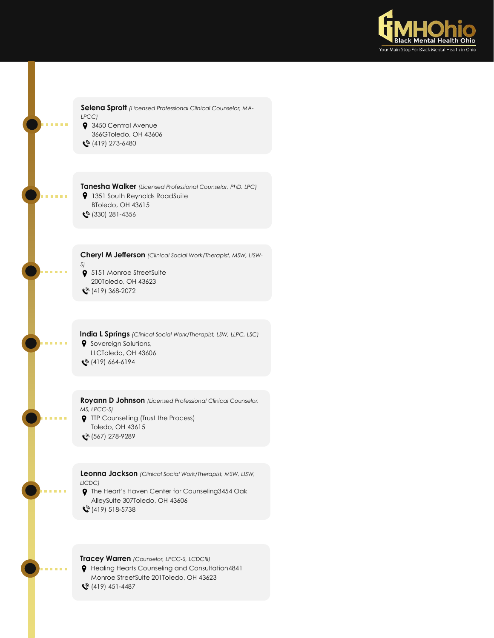

**Selena Sprott** *(Licensed Professional Clinical Counselor, MA-LPCC)* **9** 3450 Central Avenue 366GToledo, OH 43606  $\binom{3}{2}$  (419) 273-6480

**Tanesha Walker** *(Licensed Professional Counselor, PhD, LPC)* **9** 1351 South Reynolds RoadSuite BToledo, OH 43615 **(** $\frac{330}{281}$ -4356

**Cheryl M Jefferson** *(Clinical Social Work/Therapist, MSW, LISW-*

*S)* **9** 5151 Monroe StreetSuite 200Toledo, OH 43623  $\binom{36}{2}$  (419) 368-2072

**India L Springs** *(Clinical Social Work/Therapist, LSW, LLPC, LSC)* **9** Sovereign Solutions, LLCToledo, OH 43606  $\binom{3}{2}$  (419) 664-6194

**Royann D Johnson** *(Licensed Professional Clinical Counselor, MS, LPCC-S)* **9** TTP Counselling (Trust the Process) Toledo, OH 43615 (567) 278-9289

**Leonna Jackson** *(Clinical Social Work/Therapist, MSW, LISW, LICDC)*

The Heart's Haven Center for Counseling3454 Oak AlleySuite 307Toledo, OH 43606  $\mathcal{L}^{\mathbb{R}}(419)$  518-5738

**Tracey Warren** *(Counselor, LPCC-S, LCDCIII)*

Healing Hearts Counseling and Consultation4841 Monroe StreetSuite 201Toledo, OH 43623 (419) 451-4487